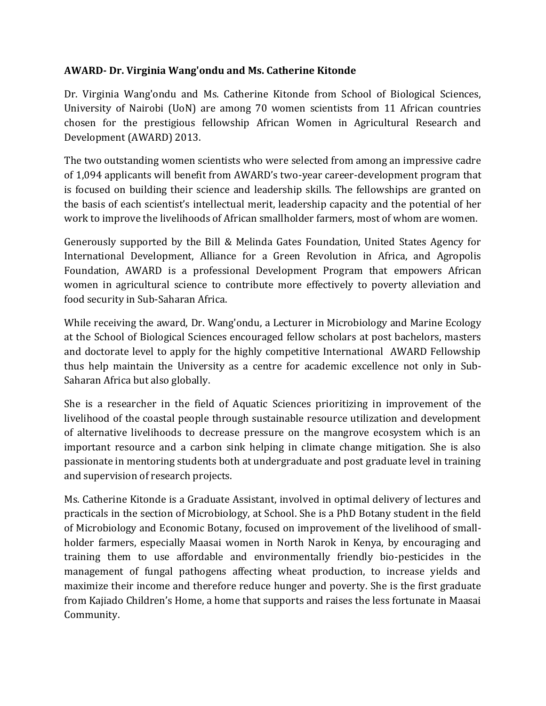## **AWARD- Dr. Virginia Wang'ondu and Ms. Catherine Kitonde**

Dr. Virginia Wang'ondu and Ms. Catherine Kitonde from School of Biological Sciences, University of Nairobi (UoN) are among 70 women scientists from 11 African countries chosen for the prestigious fellowship African Women in Agricultural Research and Development (AWARD) 2013.

The two outstanding women scientists who were selected from among an impressive cadre of 1,094 applicants will benefit from AWARD's two-year career-development program that is focused on building their science and leadership skills. The fellowships are granted on the basis of each scientist's intellectual merit, leadership capacity and the potential of her work to improve the livelihoods of African smallholder farmers, most of whom are women.

Generously supported by the Bill & Melinda Gates Foundation, United States Agency for International Development, Alliance for a Green Revolution in Africa, and Agropolis Foundation, AWARD is a professional Development Program that empowers African women in agricultural science to contribute more effectively to poverty alleviation and food security in Sub-Saharan Africa.

While receiving the award, Dr. Wang'ondu, a Lecturer in Microbiology and Marine Ecology at the School of Biological Sciences encouraged fellow scholars at post bachelors, masters and doctorate level to apply for the highly competitive International AWARD Fellowship thus help maintain the University as a centre for academic excellence not only in Sub-Saharan Africa but also globally.

She is a researcher in the field of Aquatic Sciences prioritizing in improvement of the livelihood of the coastal people through sustainable resource utilization and development of alternative livelihoods to decrease pressure on the mangrove ecosystem which is an important resource and a carbon sink helping in climate change mitigation. She is also passionate in mentoring students both at undergraduate and post graduate level in training and supervision of research projects.

Ms. Catherine Kitonde is a Graduate Assistant, involved in optimal delivery of lectures and practicals in the section of Microbiology, at School. She is a PhD Botany student in the field of Microbiology and Economic Botany, focused on improvement of the livelihood of smallholder farmers, especially Maasai women in North Narok in Kenya, by encouraging and training them to use affordable and environmentally friendly bio-pesticides in the management of fungal pathogens affecting wheat production, to increase yields and maximize their income and therefore reduce hunger and poverty. She is the first graduate from Kajiado Children's Home, a home that supports and raises the less fortunate in Maasai Community.